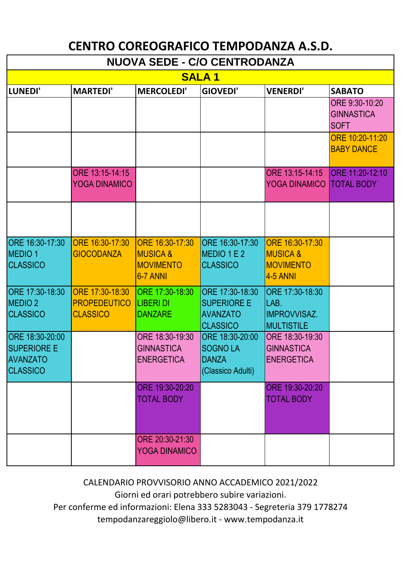## **CENTRO COREOGRAFICO TEMPODANZA A.S.D.**

| <b>NUOVA SEDE - C/O CENTRODANZA</b>                                         |                                                           |                                                                        |                                                                             |                                                                               |                                                    |  |  |  |
|-----------------------------------------------------------------------------|-----------------------------------------------------------|------------------------------------------------------------------------|-----------------------------------------------------------------------------|-------------------------------------------------------------------------------|----------------------------------------------------|--|--|--|
| <b>SALA1</b>                                                                |                                                           |                                                                        |                                                                             |                                                                               |                                                    |  |  |  |
| LUNEDI'                                                                     | <b>MARTEDI'</b>                                           | <b>MERCOLEDI'</b>                                                      | <b>GIOVEDI'</b>                                                             | <b>VENERDI'</b>                                                               | <b>SABATO</b>                                      |  |  |  |
|                                                                             |                                                           |                                                                        |                                                                             |                                                                               | ORE 9:30-10:20<br><b>GINNASTICA</b><br><b>SOFT</b> |  |  |  |
|                                                                             |                                                           |                                                                        |                                                                             |                                                                               | ORE 10:20-11:20<br><b>BABY DANCE</b>               |  |  |  |
|                                                                             | ORE 13:15-14:15<br><b>YOGA DINAMICO</b>                   |                                                                        |                                                                             | ORE 13:15-14:15<br><b>YOGA DINAMICO TOTAL BODY</b>                            | <b>ORE 11:20-12:10</b>                             |  |  |  |
|                                                                             |                                                           |                                                                        |                                                                             |                                                                               |                                                    |  |  |  |
| ORE 16:30-17:30<br><b>MEDIO1</b><br><b>CLASSICO</b>                         | ORE 16:30-17:30<br><b>GIOCODANZA</b>                      | ORE 16:30-17:30<br><b>MUSICA &amp;</b><br><b>MOVIMENTO</b><br>6-7 ANNI | ORE 16:30-17:30<br>MEDIO 1 E 2<br><b>CLASSICO</b>                           | ORE 16:30-17:30<br><b>MUSICA &amp;</b><br><b>MOVIMENTO</b><br><b>4-5 ANNI</b> |                                                    |  |  |  |
| ORE 17:30-18:30<br><b>MEDIO 2</b><br><b>CLASSICO</b>                        | ORE 17:30-18:30<br><b>PROPEDEUTICO</b><br><b>CLASSICO</b> | ORE 17:30-18:30<br><b>LIBERI DI</b><br><b>DANZARE</b>                  | ORE 17:30-18:30<br><b>SUPERIORE E</b><br><b>AVANZATO</b><br><b>CLASSICO</b> | ORE 17:30-18:30<br>LAB.<br><b>IMPROVVISAZ.</b><br><b>MULTISTILE</b>           |                                                    |  |  |  |
| ORE 18:30-20:00<br><b>SUPERIORE E</b><br><b>AVANZATO</b><br><b>CLASSICO</b> |                                                           | ORE 18:30-19:30<br><b>GINNASTICA</b><br><b>ENERGETICA</b>              | ORE 18:30-20:00<br><b>SOGNOLA</b><br>IDANZA<br>(Classico Adulti)            | ORE 18:30-19:30<br><b>GINNASTICA</b><br><b>ENERGETICA</b>                     |                                                    |  |  |  |
|                                                                             |                                                           | ORE 19:30-20:20<br><b>TOTAL BODY</b>                                   |                                                                             | ORE 19:30-20:20<br><b>TOTAL BODY</b>                                          |                                                    |  |  |  |
|                                                                             |                                                           | ORE 20:30-21:30<br><b>YOGA DINAMICO</b>                                |                                                                             |                                                                               |                                                    |  |  |  |

CALENDARIO PROVVISORIO ANNO ACCADEMICO 2021/2022

Giorni ed orari potrebbero subire variazioni.

Per conferme ed informazioni: Elena 333 5283043 - Segreteria 379 1778274

tempodanzareggiolo@libero.it - www.tempodanza.it